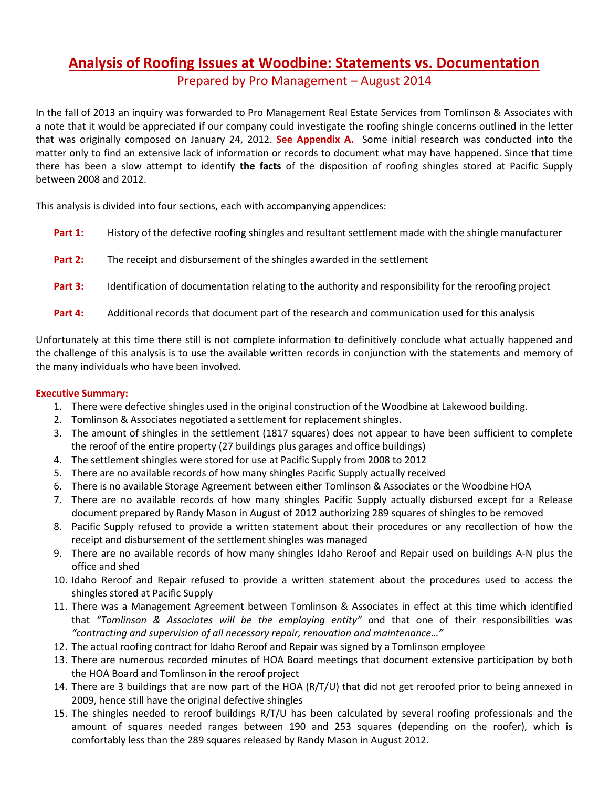# **Analysis of Roofing Issues at Woodbine: Statements vs. Documentation**

Prepared by Pro Management – August 2014

In the fall of 2013 an inquiry was forwarded to Pro Management Real Estate Services from Tomlinson & Associates with a note that it would be appreciated if our company could investigate the roofing shingle concerns outlined in the letter that was originally composed on January 24, 2012. **See Appendix A.** Some initial research was conducted into the matter only to find an extensive lack of information or records to document what may have happened. Since that time there has been a slow attempt to identify **the facts** of the disposition of roofing shingles stored at Pacific Supply between 2008 and 2012.

This analysis is divided into four sections, each with accompanying appendices:

| Part 1: | History of the defective roofing shingles and resultant settlement made with the shingle manufacturer  |
|---------|--------------------------------------------------------------------------------------------------------|
| Part 2: | The receipt and disbursement of the shingles awarded in the settlement                                 |
| Part 3: | Identification of documentation relating to the authority and responsibility for the reroofing project |
| Part 4: | Additional records that document part of the research and communication used for this analysis         |

Unfortunately at this time there still is not complete information to definitively conclude what actually happened and the challenge of this analysis is to use the available written records in conjunction with the statements and memory of the many individuals who have been involved.

### **Executive Summary:**

- 1. There were defective shingles used in the original construction of the Woodbine at Lakewood building.
- 2. Tomlinson & Associates negotiated a settlement for replacement shingles.
- 3. The amount of shingles in the settlement (1817 squares) does not appear to have been sufficient to complete the reroof of the entire property (27 buildings plus garages and office buildings)
- 4. The settlement shingles were stored for use at Pacific Supply from 2008 to 2012
- 5. There are no available records of how many shingles Pacific Supply actually received
- 6. There is no available Storage Agreement between either Tomlinson & Associates or the Woodbine HOA
- 7. There are no available records of how many shingles Pacific Supply actually disbursed except for a Release document prepared by Randy Mason in August of 2012 authorizing 289 squares of shingles to be removed
- 8. Pacific Supply refused to provide a written statement about their procedures or any recollection of how the receipt and disbursement of the settlement shingles was managed
- 9. There are no available records of how many shingles Idaho Reroof and Repair used on buildings A-N plus the office and shed
- 10. Idaho Reroof and Repair refused to provide a written statement about the procedures used to access the shingles stored at Pacific Supply
- 11. There was a Management Agreement between Tomlinson & Associates in effect at this time which identified that *"Tomlinson & Associates will be the employing entity" a*nd that one of their responsibilities was *"contracting and supervision of all necessary repair, renovation and maintenance…"*
- 12. The actual roofing contract for Idaho Reroof and Repair was signed by a Tomlinson employee
- 13. There are numerous recorded minutes of HOA Board meetings that document extensive participation by both the HOA Board and Tomlinson in the reroof project
- 14. There are 3 buildings that are now part of the HOA (R/T/U) that did not get reroofed prior to being annexed in 2009, hence still have the original defective shingles
- 15. The shingles needed to reroof buildings R/T/U has been calculated by several roofing professionals and the amount of squares needed ranges between 190 and 253 squares (depending on the roofer), which is comfortably less than the 289 squares released by Randy Mason in August 2012.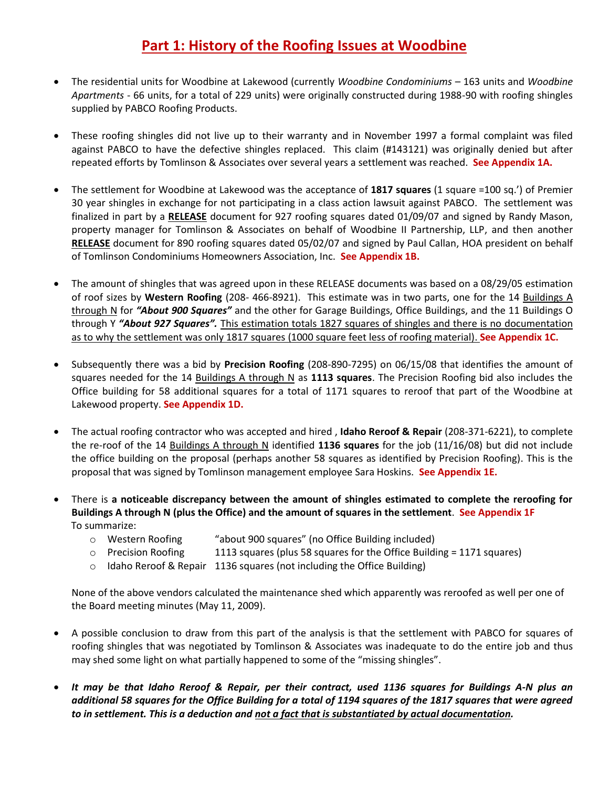## **Part 1: History of the Roofing Issues at Woodbine**

- The residential units for Woodbine at Lakewood (currently *Woodbine Condominiums* 163 units and *Woodbine Apartments* - 66 units, for a total of 229 units) were originally constructed during 1988-90 with roofing shingles supplied by PABCO Roofing Products.
- These roofing shingles did not live up to their warranty and in November 1997 a formal complaint was filed against PABCO to have the defective shingles replaced. This claim (#143121) was originally denied but after repeated efforts by Tomlinson & Associates over several years a settlement was reached. **See Appendix 1A.**
- The settlement for Woodbine at Lakewood was the acceptance of **1817 squares** (1 square =100 sq.') of Premier 30 year shingles in exchange for not participating in a class action lawsuit against PABCO. The settlement was finalized in part by a **RELEASE** document for 927 roofing squares dated 01/09/07 and signed by Randy Mason, property manager for Tomlinson & Associates on behalf of Woodbine II Partnership, LLP, and then another **RELEASE** document for 890 roofing squares dated 05/02/07 and signed by Paul Callan, HOA president on behalf of Tomlinson Condominiums Homeowners Association, Inc. **See Appendix 1B.**
- The amount of shingles that was agreed upon in these RELEASE documents was based on a 08/29/05 estimation of roof sizes by **Western Roofing** (208- 466-8921). This estimate was in two parts, one for the 14 Buildings A through N for *"About 900 Squares"* and the other for Garage Buildings, Office Buildings, and the 11 Buildings O through Y *"About 927 Squares".* This estimation totals 1827 squares of shingles and there is no documentation as to why the settlement was only 1817 squares (1000 square feet less of roofing material). **See Appendix 1C.**
- Subsequently there was a bid by **Precision Roofing** (208-890-7295) on 06/15/08 that identifies the amount of squares needed for the 14 Buildings A through N as **1113 squares**. The Precision Roofing bid also includes the Office building for 58 additional squares for a total of 1171 squares to reroof that part of the Woodbine at Lakewood property. **See Appendix 1D.**
- The actual roofing contractor who was accepted and hired , **Idaho Reroof & Repair** (208-371-6221), to complete the re-roof of the 14 Buildings A through N identified **1136 squares** for the job (11/16/08) but did not include the office building on the proposal (perhaps another 58 squares as identified by Precision Roofing). This is the proposal that was signed by Tomlinson management employee Sara Hoskins. **See Appendix 1E.**
- There is **a noticeable discrepancy between the amount of shingles estimated to complete the reroofing for Buildings A through N (plus the Office) and the amount of squares in the settlement**. **See Appendix 1F** To summarize:
	- o Western Roofing "about 900 squares" (no Office Building included)
	- o Precision Roofing 1113 squares (plus 58 squares for the Office Building = 1171 squares)
	- o Idaho Reroof & Repair 1136 squares (not including the Office Building)

None of the above vendors calculated the maintenance shed which apparently was reroofed as well per one of the Board meeting minutes (May 11, 2009).

- A possible conclusion to draw from this part of the analysis is that the settlement with PABCO for squares of roofing shingles that was negotiated by Tomlinson & Associates was inadequate to do the entire job and thus may shed some light on what partially happened to some of the "missing shingles".
- *It may be that Idaho Reroof & Repair, per their contract, used 1136 squares for Buildings A-N plus an additional 58 squares for the Office Building for a total of 1194 squares of the 1817 squares that were agreed to in settlement. This is a deduction and not a fact that is substantiated by actual documentation.*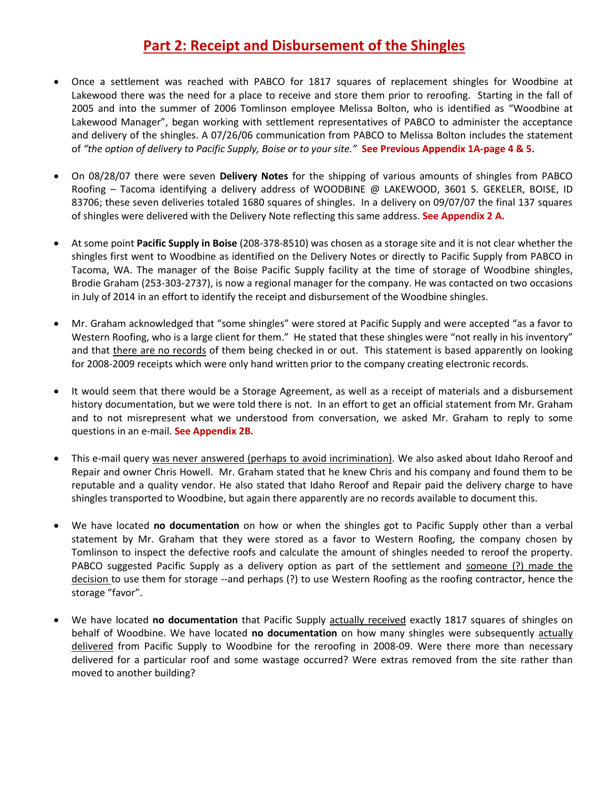### **Part 2: Receipt and Disbursement of the Shingles**

- Once a settlement was reached with PABCO for 1817 squares of replacement shingles for Woodbine at Lakewood there was the need for a place to receive and store them prior to reroofing. Starting in the fall of 2005 and into the summer of 2006 Tomlinson employee Melissa Bolton, who is identified as "Woodbine at Lakewood Manager", began working with settlement representatives of PABCO to administer the acceptance and delivery of the shingles. A 07/26/06 communication from PABCO to Melissa Bolton includes the statement of *"the option of delivery to Pacific Supply, Boise or to your site."* **See Previous Appendix 1A-page 4 & 5.**
- On 08/28/07 there were seven **Delivery Notes** for the shipping of various amounts of shingles from PABCO Roofing – Tacoma identifying a delivery address of WOODBINE @ LAKEWOOD, 3601 S. GEKELER, BOISE, ID 83706; these seven deliveries totaled 1680 squares of shingles. In a delivery on 09/07/07 the final 137 squares of shingles were delivered with the Delivery Note reflecting this same address. **See Appendix 2 A.**
- At some point **Pacific Supply in Boise** (208-378-8510) was chosen as a storage site and it is not clear whether the shingles first went to Woodbine as identified on the Delivery Notes or directly to Pacific Supply from PABCO in Tacoma, WA. The manager of the Boise Pacific Supply facility at the time of storage of Woodbine shingles, Brodie Graham (253-303-2737), is now a regional manager for the company. He was contacted on two occasions in July of 2014 in an effort to identify the receipt and disbursement of the Woodbine shingles.
- Mr. Graham acknowledged that "some shingles" were stored at Pacific Supply and were accepted "as a favor to Western Roofing, who is a large client for them." He stated that these shingles were "not really in his inventory" and that there are no records of them being checked in or out. This statement is based apparently on looking for 2008-2009 receipts which were only hand written prior to the company creating electronic records.
- It would seem that there would be a Storage Agreement, as well as a receipt of materials and a disbursement history documentation, but we were told there is not. In an effort to get an official statement from Mr. Graham and to not misrepresent what we understood from conversation, we asked Mr. Graham to reply to some questions in an e-mail. **See Appendix 2B.**
- This e-mail query was never answered (perhaps to avoid incrimination). We also asked about Idaho Reroof and Repair and owner Chris Howell. Mr. Graham stated that he knew Chris and his company and found them to be reputable and a quality vendor. He also stated that Idaho Reroof and Repair paid the delivery charge to have shingles transported to Woodbine, but again there apparently are no records available to document this.
- We have located **no documentation** on how or when the shingles got to Pacific Supply other than a verbal statement by Mr. Graham that they were stored as a favor to Western Roofing, the company chosen by Tomlinson to inspect the defective roofs and calculate the amount of shingles needed to reroof the property. PABCO suggested Pacific Supply as a delivery option as part of the settlement and someone (?) made the decision to use them for storage --and perhaps (?) to use Western Roofing as the roofing contractor, hence the storage "favor".
- We have located **no documentation** that Pacific Supply actually received exactly 1817 squares of shingles on behalf of Woodbine. We have located **no documentation** on how many shingles were subsequently actually delivered from Pacific Supply to Woodbine for the reroofing in 2008-09. Were there more than necessary delivered for a particular roof and some wastage occurred? Were extras removed from the site rather than moved to another building?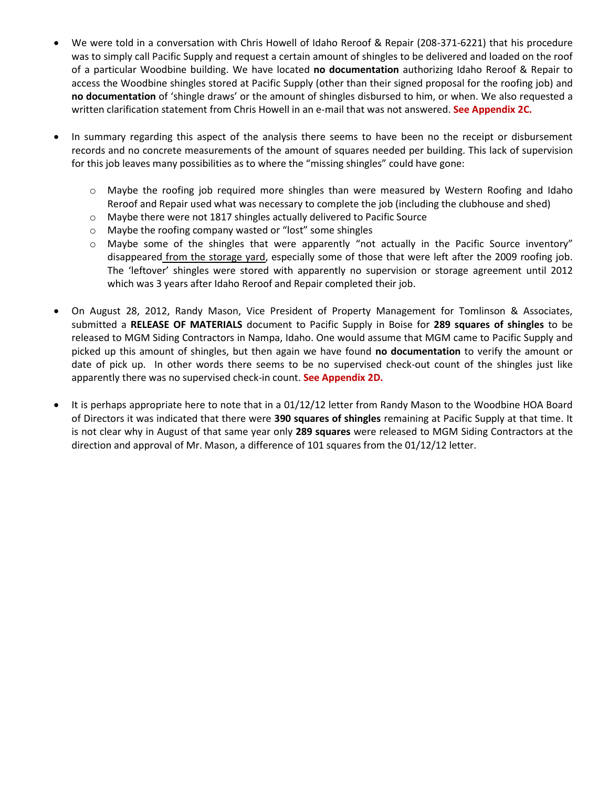- We were told in a conversation with Chris Howell of Idaho Reroof & Repair (208-371-6221) that his procedure was to simply call Pacific Supply and request a certain amount of shingles to be delivered and loaded on the roof of a particular Woodbine building. We have located **no documentation** authorizing Idaho Reroof & Repair to access the Woodbine shingles stored at Pacific Supply (other than their signed proposal for the roofing job) and **no documentation** of 'shingle draws' or the amount of shingles disbursed to him, or when. We also requested a written clarification statement from Chris Howell in an e-mail that was not answered. **See Appendix 2C.**
- In summary regarding this aspect of the analysis there seems to have been no the receipt or disbursement records and no concrete measurements of the amount of squares needed per building. This lack of supervision for this job leaves many possibilities as to where the "missing shingles" could have gone:
	- $\circ$  Maybe the roofing job required more shingles than were measured by Western Roofing and Idaho Reroof and Repair used what was necessary to complete the job (including the clubhouse and shed)
	- o Maybe there were not 1817 shingles actually delivered to Pacific Source
	- o Maybe the roofing company wasted or "lost" some shingles
	- o Maybe some of the shingles that were apparently "not actually in the Pacific Source inventory" disappeared from the storage yard, especially some of those that were left after the 2009 roofing job. The 'leftover' shingles were stored with apparently no supervision or storage agreement until 2012 which was 3 years after Idaho Reroof and Repair completed their job.
- On August 28, 2012, Randy Mason, Vice President of Property Management for Tomlinson & Associates, submitted a **RELEASE OF MATERIALS** document to Pacific Supply in Boise for **289 squares of shingles** to be released to MGM Siding Contractors in Nampa, Idaho. One would assume that MGM came to Pacific Supply and picked up this amount of shingles, but then again we have found **no documentation** to verify the amount or date of pick up. In other words there seems to be no supervised check-out count of the shingles just like apparently there was no supervised check-in count. **See Appendix 2D.**
- It is perhaps appropriate here to note that in a 01/12/12 letter from Randy Mason to the Woodbine HOA Board of Directors it was indicated that there were **390 squares of shingles** remaining at Pacific Supply at that time. It is not clear why in August of that same year only **289 squares** were released to MGM Siding Contractors at the direction and approval of Mr. Mason, a difference of 101 squares from the 01/12/12 letter.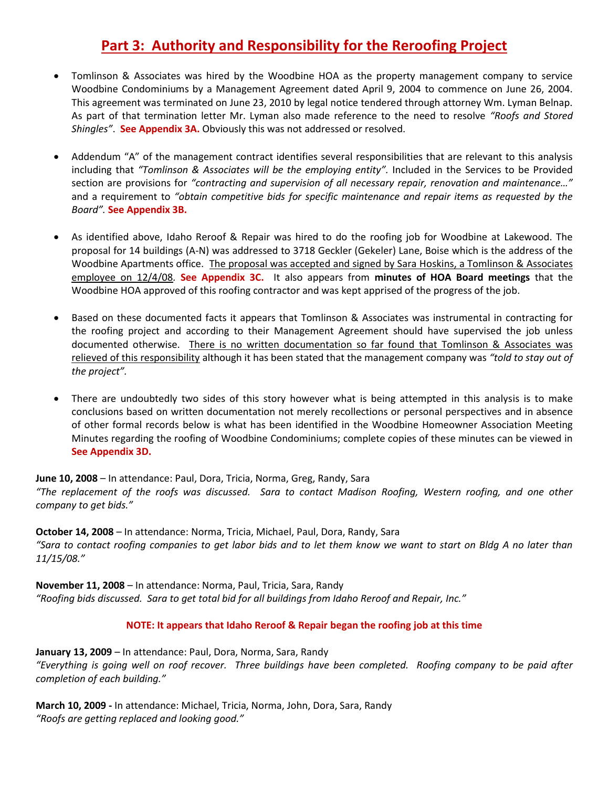## **Part 3: Authority and Responsibility for the Reroofing Project**

- Tomlinson & Associates was hired by the Woodbine HOA as the property management company to service Woodbine Condominiums by a Management Agreement dated April 9, 2004 to commence on June 26, 2004. This agreement was terminated on June 23, 2010 by legal notice tendered through attorney Wm. Lyman Belnap. As part of that termination letter Mr. Lyman also made reference to the need to resolve *"Roofs and Stored Shingles"*. **See Appendix 3A.** Obviously this was not addressed or resolved.
- Addendum "A" of the management contract identifies several responsibilities that are relevant to this analysis including that *"Tomlinson & Associates will be the employing entity".* Included in the Services to be Provided section are provisions for *"contracting and supervision of all necessary repair, renovation and maintenance…"* and a requirement to *"obtain competitive bids for specific maintenance and repair items as requested by the Board".* **See Appendix 3B.**
- As identified above, Idaho Reroof & Repair was hired to do the roofing job for Woodbine at Lakewood. The proposal for 14 buildings (A-N) was addressed to 3718 Geckler (Gekeler) Lane, Boise which is the address of the Woodbine Apartments office. The proposal was accepted and signed by Sara Hoskins, a Tomlinson & Associates employee on 12/4/08*.* **See Appendix 3C.** It also appears from **minutes of HOA Board meetings** that the Woodbine HOA approved of this roofing contractor and was kept apprised of the progress of the job.
- Based on these documented facts it appears that Tomlinson & Associates was instrumental in contracting for the roofing project and according to their Management Agreement should have supervised the job unless documented otherwise. There is no written documentation so far found that Tomlinson & Associates was relieved of this responsibility although it has been stated that the management company was *"told to stay out of the project".*
- There are undoubtedly two sides of this story however what is being attempted in this analysis is to make conclusions based on written documentation not merely recollections or personal perspectives and in absence of other formal records below is what has been identified in the Woodbine Homeowner Association Meeting Minutes regarding the roofing of Woodbine Condominiums; complete copies of these minutes can be viewed in **See Appendix 3D.**

**June 10, 2008** – In attendance: Paul, Dora, Tricia, Norma, Greg, Randy, Sara *"The replacement of the roofs was discussed. Sara to contact Madison Roofing, Western roofing, and one other company to get bids."*

**October 14, 2008** – In attendance: Norma, Tricia, Michael, Paul, Dora, Randy, Sara *"Sara to contact roofing companies to get labor bids and to let them know we want to start on Bldg A no later than 11/15/08."*

**November 11, 2008** – In attendance: Norma, Paul, Tricia, Sara, Randy *"Roofing bids discussed. Sara to get total bid for all buildings from Idaho Reroof and Repair, Inc."*

### **NOTE: It appears that Idaho Reroof & Repair began the roofing job at this time**

**January 13, 2009** – In attendance: Paul, Dora, Norma, Sara, Randy *"Everything is going well on roof recover. Three buildings have been completed. Roofing company to be paid after completion of each building."*

**March 10, 2009 -** In attendance: Michael, Tricia, Norma, John, Dora, Sara, Randy *"Roofs are getting replaced and looking good."*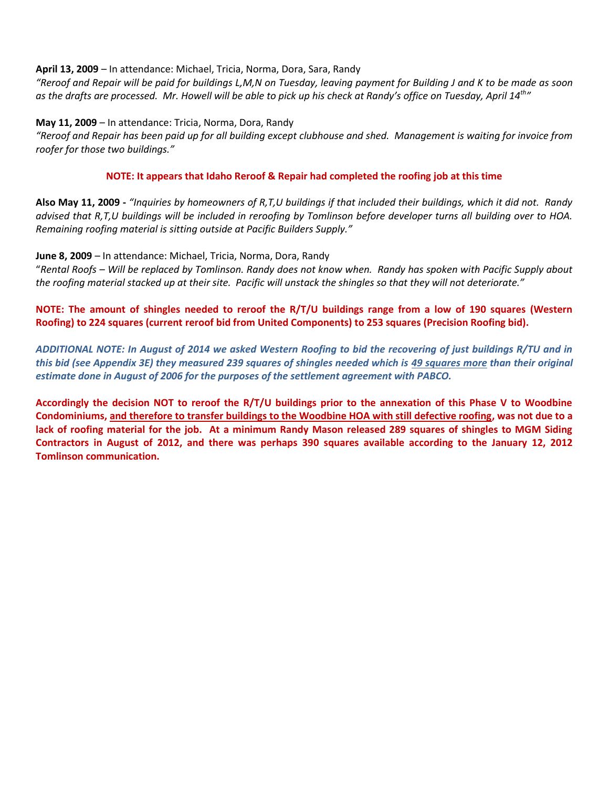#### **April 13, 2009** – In attendance: Michael, Tricia, Norma, Dora, Sara, Randy

*"Reroof and Repair will be paid for buildings L,M,N on Tuesday, leaving payment for Building J and K to be made as soon as the drafts are processed. Mr. Howell will be able to pick up his check at Randy's office on Tuesday, April 14th"*

#### **May 11, 2009** – In attendance: Tricia, Norma, Dora, Randy

*"Reroof and Repair has been paid up for all building except clubhouse and shed. Management is waiting for invoice from roofer for those two buildings."* 

#### **NOTE: It appears that Idaho Reroof & Repair had completed the roofing job at this time**

**Also May 11, 2009 -** *"Inquiries by homeowners of R,T,U buildings if that included their buildings, which it did not. Randy advised that R,T,U buildings will be included in reroofing by Tomlinson before developer turns all building over to HOA. Remaining roofing material is sitting outside at Pacific Builders Supply."*

#### **June 8, 2009** – In attendance: Michael, Tricia, Norma, Dora, Randy

"*Rental Roofs – Will be replaced by Tomlinson. Randy does not know when. Randy has spoken with Pacific Supply about the roofing material stacked up at their site. Pacific will unstack the shingles so that they will not deteriorate."*

**NOTE: The amount of shingles needed to reroof the R/T/U buildings range from a low of 190 squares (Western Roofing) to 224 squares (current reroof bid from United Components) to 253 squares (Precision Roofing bid).** 

*ADDITIONAL NOTE: In August of 2014 we asked Western Roofing to bid the recovering of just buildings R/TU and in this bid (see Appendix 3E) they measured 239 squares of shingles needed which is 49 squares more than their original estimate done in August of 2006 for the purposes of the settlement agreement with PABCO.*

**Accordingly the decision NOT to reroof the R/T/U buildings prior to the annexation of this Phase V to Woodbine Condominiums, and therefore to transfer buildings to the Woodbine HOA with still defective roofing, was not due to a lack of roofing material for the job. At a minimum Randy Mason released 289 squares of shingles to MGM Siding Contractors in August of 2012, and there was perhaps 390 squares available according to the January 12, 2012 Tomlinson communication.**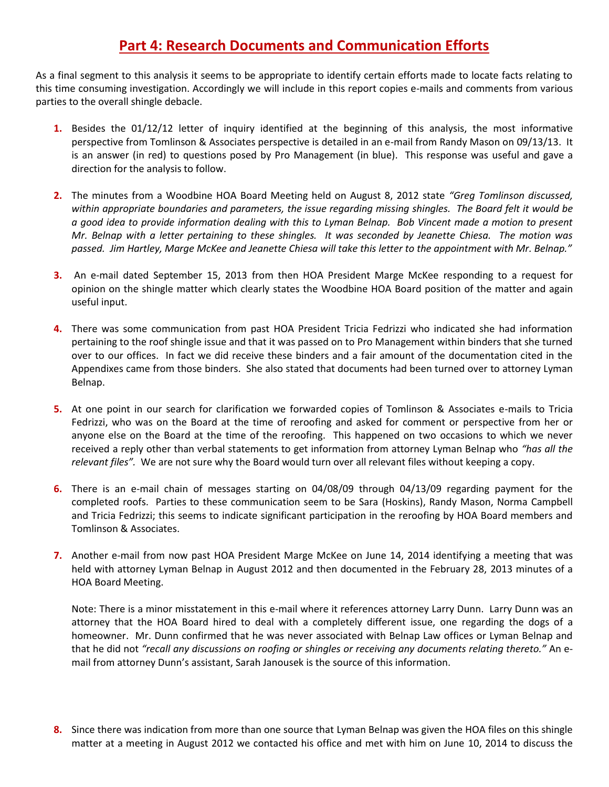## **Part 4: Research Documents and Communication Efforts**

As a final segment to this analysis it seems to be appropriate to identify certain efforts made to locate facts relating to this time consuming investigation. Accordingly we will include in this report copies e-mails and comments from various parties to the overall shingle debacle.

- **1.** Besides the 01/12/12 letter of inquiry identified at the beginning of this analysis, the most informative perspective from Tomlinson & Associates perspective is detailed in an e-mail from Randy Mason on 09/13/13. It is an answer (in red) to questions posed by Pro Management (in blue). This response was useful and gave a direction for the analysis to follow.
- **2.** The minutes from a Woodbine HOA Board Meeting held on August 8, 2012 state *"Greg Tomlinson discussed, within appropriate boundaries and parameters, the issue regarding missing shingles. The Board felt it would be a good idea to provide information dealing with this to Lyman Belnap. Bob Vincent made a motion to present Mr. Belnap with a letter pertaining to these shingles. It was seconded by Jeanette Chiesa. The motion was passed. Jim Hartley, Marge McKee and Jeanette Chiesa will take this letter to the appointment with Mr. Belnap."*
- **3.** An e-mail dated September 15, 2013 from then HOA President Marge McKee responding to a request for opinion on the shingle matter which clearly states the Woodbine HOA Board position of the matter and again useful input.
- **4.** There was some communication from past HOA President Tricia Fedrizzi who indicated she had information pertaining to the roof shingle issue and that it was passed on to Pro Management within binders that she turned over to our offices. In fact we did receive these binders and a fair amount of the documentation cited in the Appendixes came from those binders. She also stated that documents had been turned over to attorney Lyman Belnap.
- **5.** At one point in our search for clarification we forwarded copies of Tomlinson & Associates e-mails to Tricia Fedrizzi, who was on the Board at the time of reroofing and asked for comment or perspective from her or anyone else on the Board at the time of the reroofing. This happened on two occasions to which we never received a reply other than verbal statements to get information from attorney Lyman Belnap who *"has all the relevant files".* We are not sure why the Board would turn over all relevant files without keeping a copy.
- **6.** There is an e-mail chain of messages starting on 04/08/09 through 04/13/09 regarding payment for the completed roofs. Parties to these communication seem to be Sara (Hoskins), Randy Mason, Norma Campbell and Tricia Fedrizzi; this seems to indicate significant participation in the reroofing by HOA Board members and Tomlinson & Associates.
- **7.** Another e-mail from now past HOA President Marge McKee on June 14, 2014 identifying a meeting that was held with attorney Lyman Belnap in August 2012 and then documented in the February 28, 2013 minutes of a HOA Board Meeting.

Note: There is a minor misstatement in this e-mail where it references attorney Larry Dunn. Larry Dunn was an attorney that the HOA Board hired to deal with a completely different issue, one regarding the dogs of a homeowner. Mr. Dunn confirmed that he was never associated with Belnap Law offices or Lyman Belnap and that he did not *"recall any discussions on roofing or shingles or receiving any documents relating thereto."* An email from attorney Dunn's assistant, Sarah Janousek is the source of this information.

**8.** Since there was indication from more than one source that Lyman Belnap was given the HOA files on this shingle matter at a meeting in August 2012 we contacted his office and met with him on June 10, 2014 to discuss the